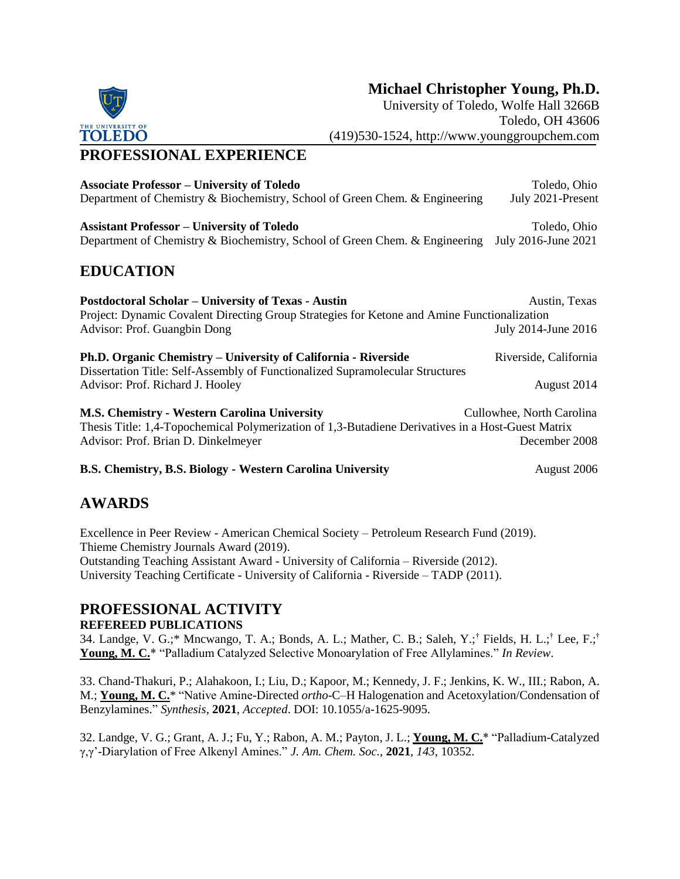# **Michael Christopher Young, Ph.D.**

University of Toledo, Wolfe Hall 3266B Toledo, OH 43606 (419)530-1524, http://www.younggroupchem.com

# **PROFESSIONAL EXPERIENCE**

| <b>Associate Professor – University of Toledo</b>                                                                                               | Toledo, Ohio              |
|-------------------------------------------------------------------------------------------------------------------------------------------------|---------------------------|
| Department of Chemistry & Biochemistry, School of Green Chem. & Engineering                                                                     | July 2021-Present         |
| <b>Assistant Professor – University of Toledo</b>                                                                                               | Toledo, Ohio              |
| Department of Chemistry & Biochemistry, School of Green Chem. & Engineering                                                                     | July 2016-June 2021       |
| <b>EDUCATION</b>                                                                                                                                |                           |
| <b>Postdoctoral Scholar – University of Texas - Austin</b>                                                                                      | Austin, Texas             |
| Project: Dynamic Covalent Directing Group Strategies for Ketone and Amine Functionalization                                                     |                           |
| Advisor: Prof. Guangbin Dong                                                                                                                    | July 2014-June 2016       |
| Ph.D. Organic Chemistry – University of California - Riverside<br>Dissertation Title: Self-Assembly of Functionalized Supramolecular Structures | Riverside, California     |
| Advisor: Prof. Richard J. Hooley                                                                                                                | August 2014               |
| <b>M.S. Chemistry - Western Carolina University</b>                                                                                             | Cullowhee, North Carolina |
| Thesis Title: 1,4-Topochemical Polymerization of 1,3-Butadiene Derivatives in a Host-Guest Matrix                                               |                           |
| Advisor: Prof. Brian D. Dinkelmeyer                                                                                                             | December 2008             |
| B.S. Chemistry, B.S. Biology - Western Carolina University                                                                                      | August 2006               |
| $\lambda$ VII $\lambda$ DDC                                                                                                                     |                           |

# **AWARDS**

Excellence in Peer Review - American Chemical Society – Petroleum Research Fund (2019). Thieme Chemistry Journals Award (2019). Outstanding Teaching Assistant Award - University of California – Riverside (2012). University Teaching Certificate - University of California - Riverside – TADP (2011).

# **PROFESSIONAL ACTIVITY**

**REFEREED PUBLICATIONS**

34. Landge, V. G.;\* Mncwango, T. A.; Bonds, A. L.; Mather, C. B.; Saleh, Y.;† Fields, H. L.;† Lee, F.;† **Young, M. C.**\* "Palladium Catalyzed Selective Monoarylation of Free Allylamines." *In Review*.

33. Chand-Thakuri, P.; Alahakoon, I.; Liu, D.; Kapoor, M.; Kennedy, J. F.; Jenkins, K. W., III.; Rabon, A. M.; **Young, M. C.**\* "Native Amine-Directed *ortho*-C–H Halogenation and Acetoxylation/Condensation of Benzylamines." *Synthesis*, **2021**, *Accepted*. DOI: 10.1055/a-1625-9095.

32. Landge, V. G.; Grant, A. J.; Fu, Y.; Rabon, A. M.; Payton, J. L.; **Young, M. C.**\* "Palladium-Catalyzed γ,γ'-Diarylation of Free Alkenyl Amines." *J. Am. Chem. Soc.*, **2021**, *143*, 10352.

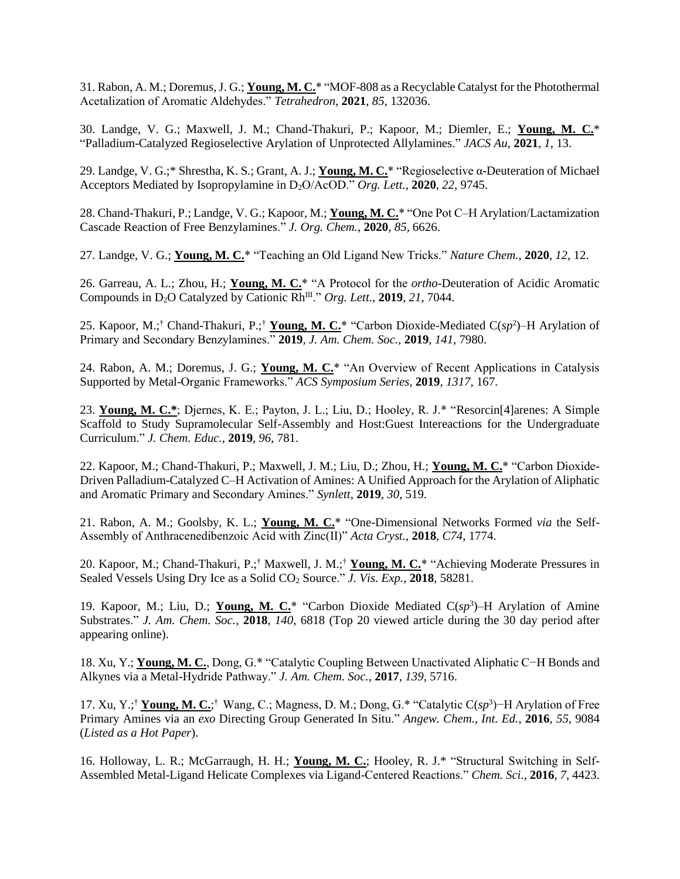31. Rabon, A. M.; Doremus, J. G.; **Young, M. C.**\* "MOF-808 as a Recyclable Catalyst for the Photothermal Acetalization of Aromatic Aldehydes." *Tetrahedron*, **2021**, *85*, 132036.

30. Landge, V. G.; Maxwell, J. M.; Chand-Thakuri, P.; Kapoor, M.; Diemler, E.; **Young, M. C.**\* "Palladium-Catalyzed Regioselective Arylation of Unprotected Allylamines." *JACS Au*, **2021**, *1*, 13.

29. Landge, V. G.;\* Shrestha, K. S.; Grant, A. J.; **Young, M. C.**\* "Regioselective α-Deuteration of Michael Acceptors Mediated by Isopropylamine in D2O/AcOD." *Org. Lett.*, **2020**, *22*, 9745.

28. Chand-Thakuri, P.; Landge, V. G.; Kapoor, M.; Young, M. C.\* "One Pot C-H Arylation/Lactamization Cascade Reaction of Free Benzylamines." *J. Org. Chem.*, **2020**, *85*, 6626.

27. Landge, V. G.; **Young, M. C.**\* "Teaching an Old Ligand New Tricks." *Nature Chem.*, **2020**, *12*, 12.

26. Garreau, A. L.; Zhou, H.; **Young, M. C.**\* "A Protocol for the *ortho*-Deuteration of Acidic Aromatic Compounds in D2O Catalyzed by Cationic RhIII." *Org. Lett*., **2019**, *21*, 7044.

25. Kapoor, M.;† Chand-Thakuri, P.;† **Young, M. C.**\* "Carbon Dioxide-Mediated C(*sp*<sup>2</sup> )–H Arylation of Primary and Secondary Benzylamines." **2019**, *J. Am. Chem. Soc.*, **2019**, *141*, 7980.

24. Rabon, A. M.; Doremus, J. G.; **Young, M. C.**\* "An Overview of Recent Applications in Catalysis Supported by Metal-Organic Frameworks." *ACS Symposium Series*, **2019**, *1317*, 167.

23. **Young, M. C.\***; Djernes, K. E.; Payton, J. L.; Liu, D.; Hooley, R. J.\* "Resorcin[4]arenes: A Simple Scaffold to Study Supramolecular Self-Assembly and Host:Guest Intereactions for the Undergraduate Curriculum." *J. Chem. Educ.*, **2019**, *96*, 781.

22. Kapoor, M.; Chand-Thakuri, P.; Maxwell, J. M.; Liu, D.; Zhou, H.; **Young, M. C.**\* "Carbon Dioxide-Driven Palladium-Catalyzed C–H Activation of Amines: A Unified Approach for the Arylation of Aliphatic and Aromatic Primary and Secondary Amines." *Synlett*, **2019**, *30*, 519.

21. Rabon, A. M.; Goolsby, K. L.; **Young, M. C.**\* "One-Dimensional Networks Formed *via* the Self-Assembly of Anthracenedibenzoic Acid with Zinc(II)" *Acta Cryst.*, **2018**, *C74*, 1774.

20. Kapoor, M.; Chand-Thakuri, P.;† Maxwell, J. M.;† **Young, M. C.**\* "Achieving Moderate Pressures in Sealed Vessels Using Dry Ice as a Solid CO<sup>2</sup> Source." *J. Vis. Exp.*, **2018**, 58281.

19. Kapoor, M.; Liu, D.; **Young, M. C.**\* "Carbon Dioxide Mediated C(*sp*<sup>3</sup> )–H Arylation of Amine Substrates." *J. Am. Chem. Soc.*, **2018**, *140*, 6818 (Top 20 viewed article during the 30 day period after appearing online).

18. Xu, Y.; **Young, M. C.**, Dong, G.\* "Catalytic Coupling Between Unactivated Aliphatic C−H Bonds and Alkynes via a Metal-Hydride Pathway." *J. Am. Chem. Soc.*, **2017**, *139*, 5716.

17. Xu, Y.;† **Young, M. C.**; † Wang, C.; Magness, D. M.; Dong, G.\* "Catalytic C(*sp*<sup>3</sup> )−H Arylation of Free Primary Amines via an *exo* Directing Group Generated In Situ." *Angew. Chem., Int. Ed.*, **2016**, *55*, 9084 (*Listed as a Hot Paper*).

16. Holloway, L. R.; McGarraugh, H. H.; **Young, M. C.**; Hooley, R. J.\* "Structural Switching in Self-Assembled Metal-Ligand Helicate Complexes via Ligand-Centered Reactions." *Chem. Sci.*, **2016**, *7*, 4423.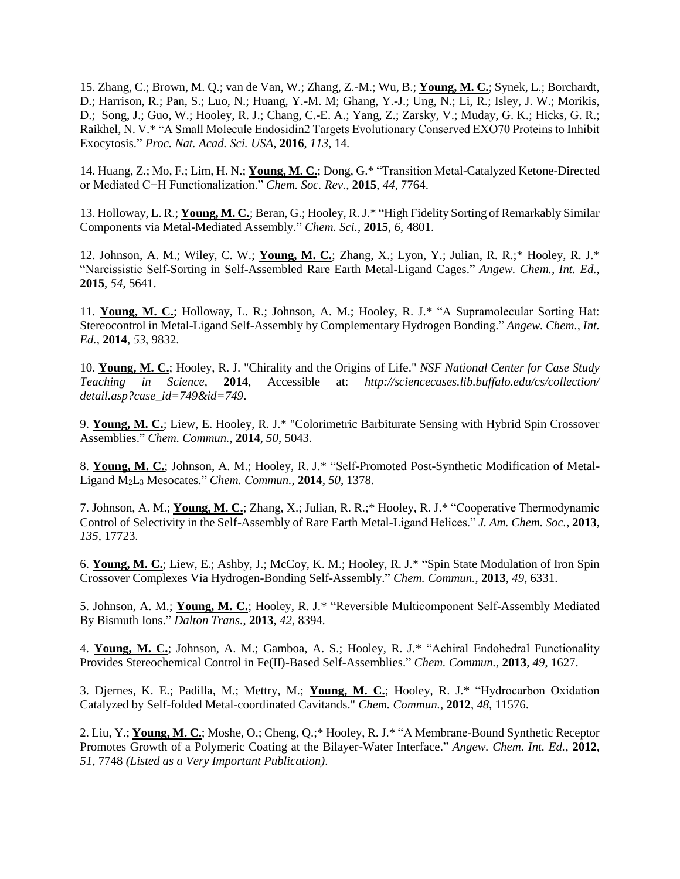15. Zhang, C.; Brown, M. Q.; van de Van, W.; Zhang, Z.-M.; Wu, B.; **Young, M. C.**; Synek, L.; Borchardt, D.; Harrison, R.; Pan, S.; Luo, N.; Huang, Y.-M. M; Ghang, Y.-J.; Ung, N.; Li, R.; Isley, J. W.; Morikis, D.; Song, J.; Guo, W.; Hooley, R. J.; Chang, C.-E. A.; Yang, Z.; Zarsky, V.; Muday, G. K.; Hicks, G. R.; Raikhel, N. V.\* "A Small Molecule Endosidin2 Targets Evolutionary Conserved EXO70 Proteins to Inhibit Exocytosis." *Proc. Nat. Acad. Sci. USA*, **2016**, *113*, 14.

14. Huang, Z.; Mo, F.; Lim, H. N.; **Young, M. C.**; Dong, G.\* "Transition Metal-Catalyzed Ketone-Directed or Mediated C−H Functionalization." *Chem. Soc. Rev.*, **2015**, *44*, 7764.

13. Holloway, L. R.; **Young, M. C.**; Beran, G.; Hooley, R. J.\* "High Fidelity Sorting of Remarkably Similar Components via Metal-Mediated Assembly." *Chem. Sci.*, **2015**, *6*, 4801.

12. Johnson, A. M.; Wiley, C. W.; **Young, M. C.**; Zhang, X.; Lyon, Y.; Julian, R. R.;\* Hooley, R. J.\* "Narcissistic Self-Sorting in Self-Assembled Rare Earth Metal-Ligand Cages." *Angew. Chem., Int. Ed.*, **2015**, *54*, 5641.

11. **Young, M. C.**; Holloway, L. R.; Johnson, A. M.; Hooley, R. J.\* "A Supramolecular Sorting Hat: Stereocontrol in Metal-Ligand Self-Assembly by Complementary Hydrogen Bonding." *Angew. Chem., Int. Ed.*, **2014**, *53*, 9832.

10. **Young, M. C.**; Hooley, R. J. "Chirality and the Origins of Life." *NSF National Center for Case Study Teaching in Science,* **2014**, Accessible at: *http://sciencecases.lib.buffalo.edu/cs/collection/ detail.asp?case\_id=749&id=749*.

9. **Young, M. C.**; Liew, E. Hooley, R. J.\* "Colorimetric Barbiturate Sensing with Hybrid Spin Crossover Assemblies." *Chem. Commun.*, **2014**, *50*, 5043.

8. **Young, M. C.**; Johnson, A. M.; Hooley, R. J.\* "Self-Promoted Post-Synthetic Modification of Metal-Ligand M2L<sup>3</sup> Mesocates." *Chem. Commun.*, **2014**, *50*, 1378.

7. Johnson, A. M.; **Young, M. C.**; Zhang, X.; Julian, R. R.;\* Hooley, R. J.\* "Cooperative Thermodynamic Control of Selectivity in the Self-Assembly of Rare Earth Metal-Ligand Helices." *J. Am. Chem. Soc.*, **2013**, *135*, 17723.

6. **Young, M. C.**; Liew, E.; Ashby, J.; McCoy, K. M.; Hooley, R. J.\* "Spin State Modulation of Iron Spin Crossover Complexes Via Hydrogen-Bonding Self-Assembly." *Chem. Commun.*, **2013**, *49*, 6331.

5. Johnson, A. M.; **Young, M. C.**; Hooley, R. J.\* "Reversible Multicomponent Self-Assembly Mediated By Bismuth Ions." *Dalton Trans.*, **2013**, *42*, 8394*.*

4. **Young, M. C.**; Johnson, A. M.; Gamboa, A. S.; Hooley, R. J.\* "Achiral Endohedral Functionality Provides Stereochemical Control in Fe(II)-Based Self-Assemblies." *Chem. Commun.*, **2013**, *49*, 1627.

3. Djernes, K. E.; Padilla, M.; Mettry, M.; **Young, M. C.**; Hooley, R. J.\* "Hydrocarbon Oxidation Catalyzed by Self-folded Metal-coordinated Cavitands." *Chem. Commun.*, **2012**, *48*, 11576.

2. Liu, Y.; **Young, M. C.**; Moshe, O.; Cheng, Q.;\* Hooley, R. J.\* "A Membrane-Bound Synthetic Receptor Promotes Growth of a Polymeric Coating at the Bilayer-Water Interface." *Angew. Chem. Int. Ed.*, **2012**, *51*, 7748 *(Listed as a Very Important Publication)*.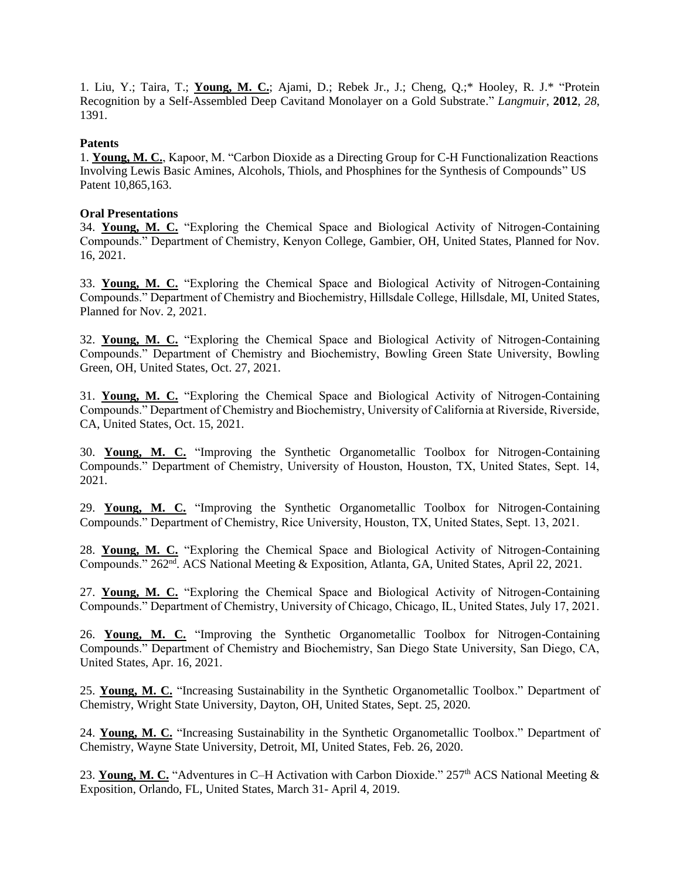1. Liu, Y.; Taira, T.; **Young, M. C.**; Ajami, D.; Rebek Jr., J.; Cheng, Q.;\* Hooley, R. J.\* "Protein Recognition by a Self-Assembled Deep Cavitand Monolayer on a Gold Substrate." *Langmuir*, **2012**, *28*, 1391.

### **Patents**

1. **Young, M. C.**, Kapoor, M. "Carbon Dioxide as a Directing Group for C-H Functionalization Reactions Involving Lewis Basic Amines, Alcohols, Thiols, and Phosphines for the Synthesis of Compounds" US Patent 10,865,163.

### **Oral Presentations**

34. **Young, M. C.** "Exploring the Chemical Space and Biological Activity of Nitrogen-Containing Compounds." Department of Chemistry, Kenyon College, Gambier, OH, United States, Planned for Nov. 16, 2021.

33. **Young, M. C.** "Exploring the Chemical Space and Biological Activity of Nitrogen-Containing Compounds." Department of Chemistry and Biochemistry, Hillsdale College, Hillsdale, MI, United States, Planned for Nov. 2, 2021.

32. **Young, M. C.** "Exploring the Chemical Space and Biological Activity of Nitrogen-Containing Compounds." Department of Chemistry and Biochemistry, Bowling Green State University, Bowling Green, OH, United States, Oct. 27, 2021.

31. **Young, M. C.** "Exploring the Chemical Space and Biological Activity of Nitrogen-Containing Compounds." Department of Chemistry and Biochemistry, University of California at Riverside, Riverside, CA, United States, Oct. 15, 2021.

30. **Young, M. C.** "Improving the Synthetic Organometallic Toolbox for Nitrogen-Containing Compounds." Department of Chemistry, University of Houston, Houston, TX, United States, Sept. 14, 2021.

29. **Young, M. C.** "Improving the Synthetic Organometallic Toolbox for Nitrogen-Containing Compounds." Department of Chemistry, Rice University, Houston, TX, United States, Sept. 13, 2021.

28. **Young, M. C.** "Exploring the Chemical Space and Biological Activity of Nitrogen-Containing Compounds." 262<sup>nd</sup>. ACS National Meeting & Exposition, Atlanta, GA, United States, April 22, 2021.

27. **Young, M. C.** "Exploring the Chemical Space and Biological Activity of Nitrogen-Containing Compounds." Department of Chemistry, University of Chicago, Chicago, IL, United States, July 17, 2021.

26. **Young, M. C.** "Improving the Synthetic Organometallic Toolbox for Nitrogen-Containing Compounds." Department of Chemistry and Biochemistry, San Diego State University, San Diego, CA, United States, Apr. 16, 2021.

25. **Young, M. C.** "Increasing Sustainability in the Synthetic Organometallic Toolbox." Department of Chemistry, Wright State University, Dayton, OH, United States, Sept. 25, 2020.

24. **Young, M. C.** "Increasing Sustainability in the Synthetic Organometallic Toolbox." Department of Chemistry, Wayne State University, Detroit, MI, United States, Feb. 26, 2020.

23. Young, M. C. "Adventures in C–H Activation with Carbon Dioxide." 257<sup>th</sup> ACS National Meeting & Exposition, Orlando, FL, United States, March 31- April 4, 2019.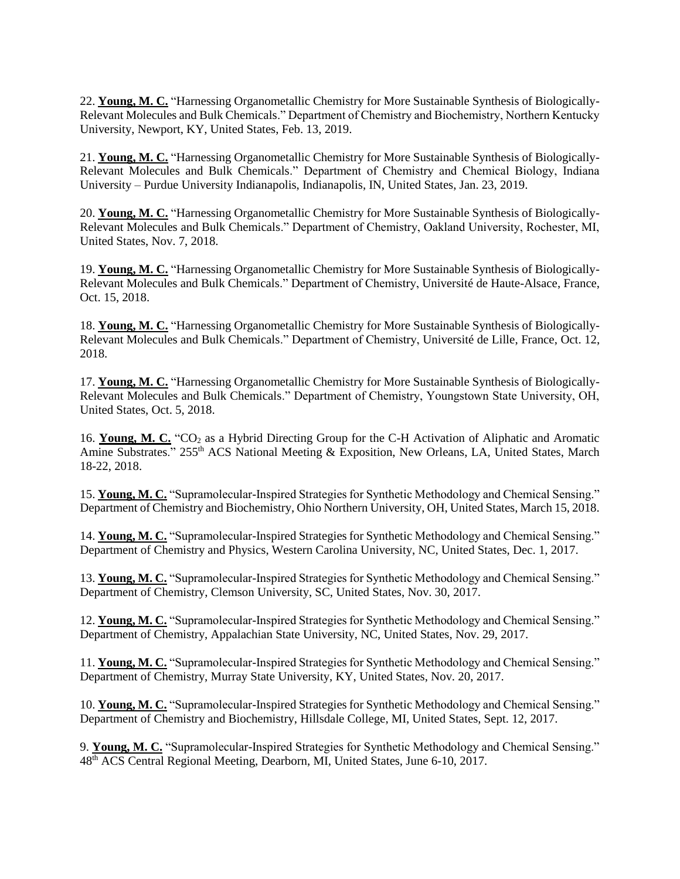22. **Young, M. C.** "Harnessing Organometallic Chemistry for More Sustainable Synthesis of Biologically-Relevant Molecules and Bulk Chemicals." Department of Chemistry and Biochemistry, Northern Kentucky University, Newport, KY, United States, Feb. 13, 2019.

21. **Young, M. C.** "Harnessing Organometallic Chemistry for More Sustainable Synthesis of Biologically-Relevant Molecules and Bulk Chemicals." Department of Chemistry and Chemical Biology, Indiana University – Purdue University Indianapolis, Indianapolis, IN, United States, Jan. 23, 2019.

20. **Young, M. C.** "Harnessing Organometallic Chemistry for More Sustainable Synthesis of Biologically-Relevant Molecules and Bulk Chemicals." Department of Chemistry, Oakland University, Rochester, MI, United States, Nov. 7, 2018.

19. **Young, M. C.** "Harnessing Organometallic Chemistry for More Sustainable Synthesis of Biologically-Relevant Molecules and Bulk Chemicals." Department of Chemistry, Université de Haute-Alsace, France, Oct. 15, 2018.

18. **Young, M. C.** "Harnessing Organometallic Chemistry for More Sustainable Synthesis of Biologically-Relevant Molecules and Bulk Chemicals." Department of Chemistry, Université de Lille, France, Oct. 12, 2018.

17. **Young, M. C.** "Harnessing Organometallic Chemistry for More Sustainable Synthesis of Biologically-Relevant Molecules and Bulk Chemicals." Department of Chemistry, Youngstown State University, OH, United States, Oct. 5, 2018.

16. **Young, M. C.** "CO<sup>2</sup> as a Hybrid Directing Group for the C-H Activation of Aliphatic and Aromatic Amine Substrates." 255<sup>th</sup> ACS National Meeting & Exposition, New Orleans, LA, United States, March 18-22, 2018.

15. **Young, M. C.** "Supramolecular-Inspired Strategies for Synthetic Methodology and Chemical Sensing." Department of Chemistry and Biochemistry, Ohio Northern University, OH, United States, March 15, 2018.

14. **Young, M. C.** "Supramolecular-Inspired Strategies for Synthetic Methodology and Chemical Sensing." Department of Chemistry and Physics, Western Carolina University, NC, United States, Dec. 1, 2017.

13. **Young, M. C.** "Supramolecular-Inspired Strategies for Synthetic Methodology and Chemical Sensing." Department of Chemistry, Clemson University, SC, United States, Nov. 30, 2017.

12. **Young, M. C.** "Supramolecular-Inspired Strategies for Synthetic Methodology and Chemical Sensing." Department of Chemistry, Appalachian State University, NC, United States, Nov. 29, 2017.

11. **Young, M. C.** "Supramolecular-Inspired Strategies for Synthetic Methodology and Chemical Sensing." Department of Chemistry, Murray State University, KY, United States, Nov. 20, 2017.

10. **Young, M. C.** "Supramolecular-Inspired Strategies for Synthetic Methodology and Chemical Sensing." Department of Chemistry and Biochemistry, Hillsdale College, MI, United States, Sept. 12, 2017.

9. **Young, M. C.** "Supramolecular-Inspired Strategies for Synthetic Methodology and Chemical Sensing." 48th ACS Central Regional Meeting, Dearborn, MI, United States, June 6-10, 2017.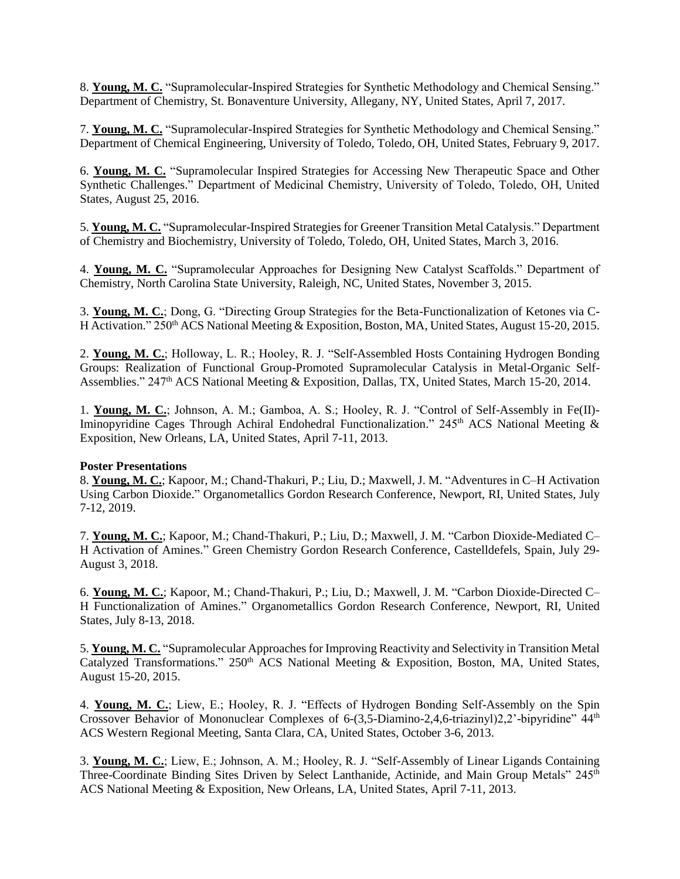8. **Young, M. C.** "Supramolecular-Inspired Strategies for Synthetic Methodology and Chemical Sensing." Department of Chemistry, St. Bonaventure University, Allegany, NY, United States, April 7, 2017.

7. **Young, M. C.** "Supramolecular-Inspired Strategies for Synthetic Methodology and Chemical Sensing." Department of Chemical Engineering, University of Toledo, Toledo, OH, United States, February 9, 2017.

6. **Young, M. C.** "Supramolecular Inspired Strategies for Accessing New Therapeutic Space and Other Synthetic Challenges." Department of Medicinal Chemistry, University of Toledo, Toledo, OH, United States, August 25, 2016.

5. **Young, M. C.** "Supramolecular-Inspired Strategies for Greener Transition Metal Catalysis." Department of Chemistry and Biochemistry, University of Toledo, Toledo, OH, United States, March 3, 2016.

4. **Young, M. C.** "Supramolecular Approaches for Designing New Catalyst Scaffolds." Department of Chemistry, North Carolina State University, Raleigh, NC, United States, November 3, 2015.

3. **Young, M. C.**; Dong, G. "Directing Group Strategies for the Beta-Functionalization of Ketones via C-H Activation." 250<sup>th</sup> ACS National Meeting & Exposition, Boston, MA, United States, August 15-20, 2015.

2. **Young, M. C.**; Holloway, L. R.; Hooley, R. J. "Self-Assembled Hosts Containing Hydrogen Bonding Groups: Realization of Functional Group-Promoted Supramolecular Catalysis in Metal-Organic Self-Assemblies." 247<sup>th</sup> ACS National Meeting & Exposition, Dallas, TX, United States, March 15-20, 2014.

1. **Young, M. C.**; Johnson, A. M.; Gamboa, A. S.; Hooley, R. J. "Control of Self-Assembly in Fe(II)- Iminopyridine Cages Through Achiral Endohedral Functionalization." 245<sup>th</sup> ACS National Meeting & Exposition, New Orleans, LA, United States, April 7-11, 2013.

#### **Poster Presentations**

8. **Young, M. C.**; Kapoor, M.; Chand-Thakuri, P.; Liu, D.; Maxwell, J. M. "Adventures in C–H Activation Using Carbon Dioxide." Organometallics Gordon Research Conference, Newport, RI, United States, July 7-12, 2019.

7. **Young, M. C.**; Kapoor, M.; Chand-Thakuri, P.; Liu, D.; Maxwell, J. M. "Carbon Dioxide-Mediated C– H Activation of Amines." Green Chemistry Gordon Research Conference, Castelldefels, Spain, July 29- August 3, 2018.

6. **Young, M. C.**; Kapoor, M.; Chand-Thakuri, P.; Liu, D.; Maxwell, J. M. "Carbon Dioxide-Directed C– H Functionalization of Amines." Organometallics Gordon Research Conference, Newport, RI, United States, July 8-13, 2018.

5. **Young, M. C.** "Supramolecular Approaches for Improving Reactivity and Selectivity in Transition Metal Catalyzed Transformations." 250<sup>th</sup> ACS National Meeting & Exposition, Boston, MA, United States, August 15-20, 2015.

4. **Young, M. C.**; Liew, E.; Hooley, R. J. "Effects of Hydrogen Bonding Self-Assembly on the Spin Crossover Behavior of Mononuclear Complexes of 6-(3,5-Diamino-2,4,6-triazinyl)2,2'-bipyridine" 44th ACS Western Regional Meeting, Santa Clara, CA, United States, October 3-6, 2013.

3. **Young, M. C.**; Liew, E.; Johnson, A. M.; Hooley, R. J. "Self-Assembly of Linear Ligands Containing Three-Coordinate Binding Sites Driven by Select Lanthanide, Actinide, and Main Group Metals" 245<sup>th</sup> ACS National Meeting & Exposition, New Orleans, LA, United States, April 7-11, 2013.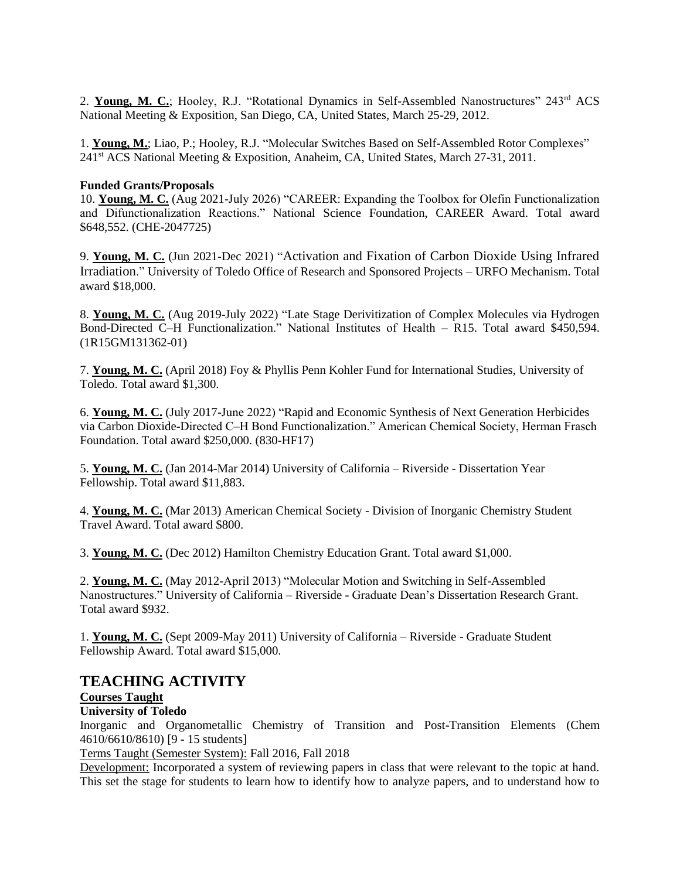2. **Young, M. C.**; Hooley, R.J. "Rotational Dynamics in Self-Assembled Nanostructures" 243rd ACS National Meeting & Exposition, San Diego, CA, United States, March 25-29, 2012.

1. **Young, M.**; Liao, P.; Hooley, R.J. "Molecular Switches Based on Self-Assembled Rotor Complexes" 241st ACS National Meeting & Exposition, Anaheim, CA, United States, March 27-31, 2011.

#### **Funded Grants/Proposals**

10. **Young, M. C.** (Aug 2021-July 2026) "CAREER: Expanding the Toolbox for Olefin Functionalization and Difunctionalization Reactions." National Science Foundation, CAREER Award. Total award \$648,552. (CHE-2047725)

9. **Young, M. C.** (Jun 2021-Dec 2021) "Activation and Fixation of Carbon Dioxide Using Infrared Irradiation." University of Toledo Office of Research and Sponsored Projects – URFO Mechanism. Total award \$18,000.

8. **Young, M. C.** (Aug 2019-July 2022) "Late Stage Derivitization of Complex Molecules via Hydrogen Bond-Directed C–H Functionalization." National Institutes of Health – R15. Total award \$450,594. (1R15GM131362-01)

7. **Young, M. C.** (April 2018) Foy & Phyllis Penn Kohler Fund for International Studies, University of Toledo. Total award \$1,300.

6. **Young, M. C.** (July 2017-June 2022) "Rapid and Economic Synthesis of Next Generation Herbicides via Carbon Dioxide-Directed C‒H Bond Functionalization." American Chemical Society, Herman Frasch Foundation. Total award \$250,000. (830-HF17)

5. **Young, M. C.** (Jan 2014-Mar 2014) University of California – Riverside - Dissertation Year Fellowship. Total award \$11,883.

4. **Young, M. C.** (Mar 2013) American Chemical Society - Division of Inorganic Chemistry Student Travel Award. Total award \$800.

3. **Young, M. C.** (Dec 2012) Hamilton Chemistry Education Grant. Total award \$1,000.

2. **Young, M. C.** (May 2012-April 2013) "Molecular Motion and Switching in Self-Assembled Nanostructures." University of California – Riverside - Graduate Dean's Dissertation Research Grant. Total award \$932.

1. **Young, M. C.** (Sept 2009-May 2011) University of California – Riverside - Graduate Student Fellowship Award. Total award \$15,000.

# **TEACHING ACTIVITY**

# **Courses Taught**

#### **University of Toledo**

Inorganic and Organometallic Chemistry of Transition and Post-Transition Elements (Chem 4610/6610/8610) [9 - 15 students]

Terms Taught (Semester System): Fall 2016, Fall 2018

Development: Incorporated a system of reviewing papers in class that were relevant to the topic at hand. This set the stage for students to learn how to identify how to analyze papers, and to understand how to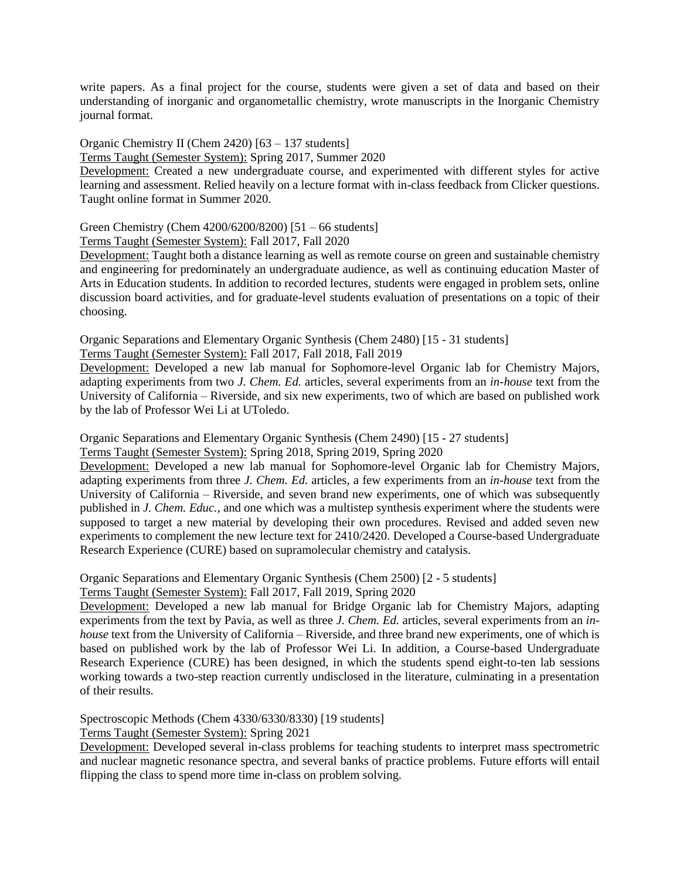write papers. As a final project for the course, students were given a set of data and based on their understanding of inorganic and organometallic chemistry, wrote manuscripts in the Inorganic Chemistry journal format.

Organic Chemistry II (Chem 2420) [63 – 137 students]

Terms Taught (Semester System): Spring 2017, Summer 2020

Development: Created a new undergraduate course, and experimented with different styles for active learning and assessment. Relied heavily on a lecture format with in-class feedback from Clicker questions. Taught online format in Summer 2020.

## Green Chemistry (Chem 4200/6200/8200) [51 – 66 students]

Terms Taught (Semester System): Fall 2017, Fall 2020

Development: Taught both a distance learning as well as remote course on green and sustainable chemistry and engineering for predominately an undergraduate audience, as well as continuing education Master of Arts in Education students. In addition to recorded lectures, students were engaged in problem sets, online discussion board activities, and for graduate-level students evaluation of presentations on a topic of their choosing.

Organic Separations and Elementary Organic Synthesis (Chem 2480) [15 - 31 students]

Terms Taught (Semester System): Fall 2017, Fall 2018, Fall 2019

Development: Developed a new lab manual for Sophomore-level Organic lab for Chemistry Majors, adapting experiments from two *J. Chem. Ed.* articles, several experiments from an *in-house* text from the University of California – Riverside, and six new experiments, two of which are based on published work by the lab of Professor Wei Li at UToledo.

Organic Separations and Elementary Organic Synthesis (Chem 2490) [15 - 27 students] Terms Taught (Semester System): Spring 2018, Spring 2019, Spring 2020

Development: Developed a new lab manual for Sophomore-level Organic lab for Chemistry Majors, adapting experiments from three *J. Chem. Ed.* articles, a few experiments from an *in-house* text from the

University of California – Riverside, and seven brand new experiments, one of which was subsequently published in *J. Chem. Educ.*, and one which was a multistep synthesis experiment where the students were supposed to target a new material by developing their own procedures. Revised and added seven new experiments to complement the new lecture text for 2410/2420. Developed a Course-based Undergraduate Research Experience (CURE) based on supramolecular chemistry and catalysis.

Organic Separations and Elementary Organic Synthesis (Chem 2500) [2 - 5 students] Terms Taught (Semester System): Fall 2017, Fall 2019, Spring 2020

Development: Developed a new lab manual for Bridge Organic lab for Chemistry Majors, adapting experiments from the text by Pavia, as well as three *J. Chem. Ed.* articles, several experiments from an *inhouse* text from the University of California – Riverside, and three brand new experiments, one of which is based on published work by the lab of Professor Wei Li. In addition, a Course-based Undergraduate Research Experience (CURE) has been designed, in which the students spend eight-to-ten lab sessions working towards a two-step reaction currently undisclosed in the literature, culminating in a presentation of their results.

Spectroscopic Methods (Chem 4330/6330/8330) [19 students]

Terms Taught (Semester System): Spring 2021

Development: Developed several in-class problems for teaching students to interpret mass spectrometric and nuclear magnetic resonance spectra, and several banks of practice problems. Future efforts will entail flipping the class to spend more time in-class on problem solving.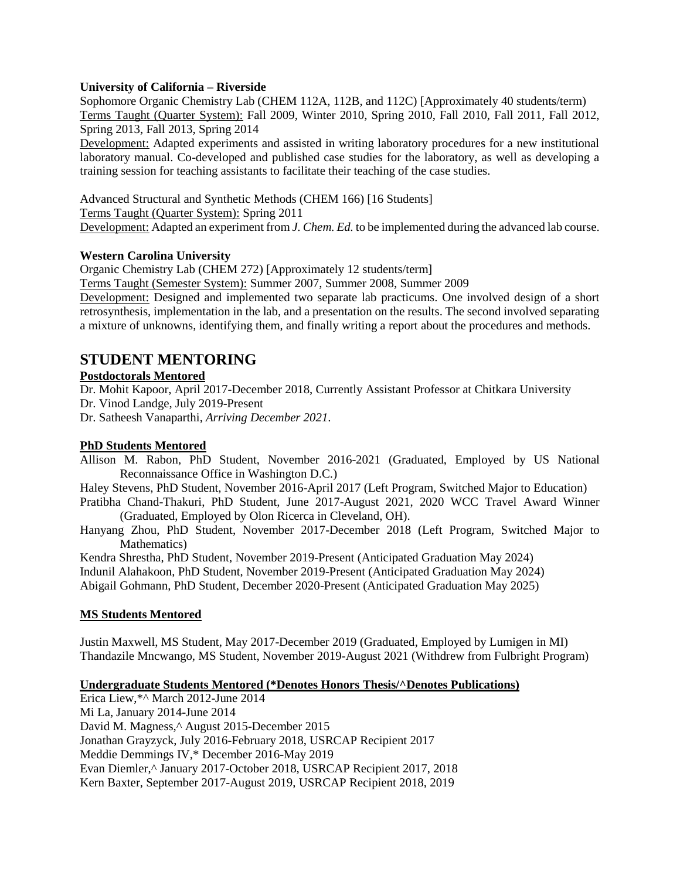#### **University of California – Riverside**

Sophomore Organic Chemistry Lab (CHEM 112A, 112B, and 112C) [Approximately 40 students/term) Terms Taught (Quarter System): Fall 2009, Winter 2010, Spring 2010, Fall 2010, Fall 2011, Fall 2012, Spring 2013, Fall 2013, Spring 2014

Development: Adapted experiments and assisted in writing laboratory procedures for a new institutional laboratory manual. Co-developed and published case studies for the laboratory, as well as developing a training session for teaching assistants to facilitate their teaching of the case studies.

Advanced Structural and Synthetic Methods (CHEM 166) [16 Students] Terms Taught (Quarter System): Spring 2011 Development: Adapted an experiment from *J. Chem. Ed.* to be implemented during the advanced lab course.

#### **Western Carolina University**

Organic Chemistry Lab (CHEM 272) [Approximately 12 students/term]

Terms Taught (Semester System): Summer 2007, Summer 2008, Summer 2009

Development: Designed and implemented two separate lab practicums. One involved design of a short retrosynthesis, implementation in the lab, and a presentation on the results. The second involved separating a mixture of unknowns, identifying them, and finally writing a report about the procedures and methods.

# **STUDENT MENTORING**

#### **Postdoctorals Mentored**

Dr. Mohit Kapoor, April 2017-December 2018, Currently Assistant Professor at Chitkara University

Dr. Vinod Landge, July 2019-Present

Dr. Satheesh Vanaparthi, *Arriving December 2021*.

#### **PhD Students Mentored**

Allison M. Rabon, PhD Student, November 2016-2021 (Graduated, Employed by US National Reconnaissance Office in Washington D.C.)

Haley Stevens, PhD Student, November 2016-April 2017 (Left Program, Switched Major to Education)

Pratibha Chand-Thakuri, PhD Student, June 2017-August 2021, 2020 WCC Travel Award Winner (Graduated, Employed by Olon Ricerca in Cleveland, OH).

Hanyang Zhou, PhD Student, November 2017-December 2018 (Left Program, Switched Major to Mathematics)

Kendra Shrestha, PhD Student, November 2019-Present (Anticipated Graduation May 2024) Indunil Alahakoon, PhD Student, November 2019-Present (Anticipated Graduation May 2024)

Abigail Gohmann, PhD Student, December 2020-Present (Anticipated Graduation May 2025)

#### **MS Students Mentored**

Justin Maxwell, MS Student, May 2017-December 2019 (Graduated, Employed by Lumigen in MI) Thandazile Mncwango, MS Student, November 2019-August 2021 (Withdrew from Fulbright Program)

#### **Undergraduate Students Mentored (\*Denotes Honors Thesis/^Denotes Publications)**

Erica Liew,\*^ March 2012-June 2014 Mi La, January 2014-June 2014 David M. Magness,^ August 2015-December 2015 Jonathan Grayzyck, July 2016-February 2018, USRCAP Recipient 2017 Meddie Demmings IV,\* December 2016-May 2019 Evan Diemler,^ January 2017-October 2018, USRCAP Recipient 2017, 2018 Kern Baxter, September 2017-August 2019, USRCAP Recipient 2018, 2019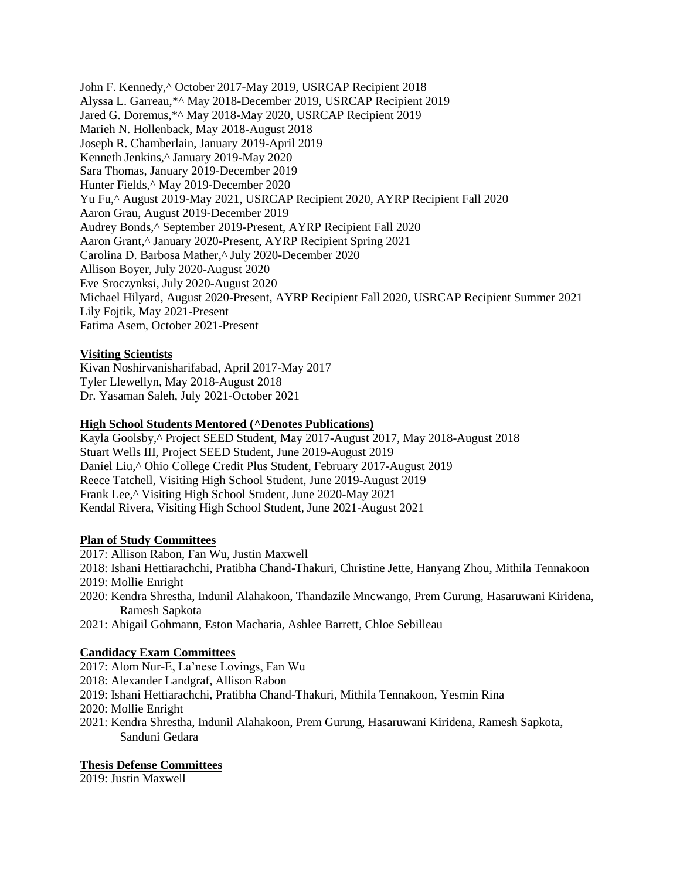John F. Kennedy,^ October 2017-May 2019, USRCAP Recipient 2018 Alyssa L. Garreau,\*^ May 2018-December 2019, USRCAP Recipient 2019 Jared G. Doremus,\*^ May 2018-May 2020, USRCAP Recipient 2019 Marieh N. Hollenback, May 2018-August 2018 Joseph R. Chamberlain, January 2019-April 2019 Kenneth Jenkins,^ January 2019-May 2020 Sara Thomas, January 2019-December 2019 Hunter Fields,^ May 2019-December 2020 Yu Fu,^ August 2019-May 2021, USRCAP Recipient 2020, AYRP Recipient Fall 2020 Aaron Grau, August 2019-December 2019 Audrey Bonds,^ September 2019-Present, AYRP Recipient Fall 2020 Aaron Grant,^ January 2020-Present, AYRP Recipient Spring 2021 Carolina D. Barbosa Mather,^ July 2020-December 2020 Allison Boyer, July 2020-August 2020 Eve Sroczynksi, July 2020-August 2020 Michael Hilyard, August 2020-Present, AYRP Recipient Fall 2020, USRCAP Recipient Summer 2021 Lily Fojtik, May 2021-Present Fatima Asem, October 2021-Present

## **Visiting Scientists**

Kivan Noshirvanisharifabad, April 2017-May 2017 Tyler Llewellyn, May 2018-August 2018 Dr. Yasaman Saleh, July 2021-October 2021

## **High School Students Mentored (^Denotes Publications)**

Kayla Goolsby,^ Project SEED Student, May 2017-August 2017, May 2018-August 2018 Stuart Wells III, Project SEED Student, June 2019-August 2019 Daniel Liu,^ Ohio College Credit Plus Student, February 2017-August 2019 Reece Tatchell, Visiting High School Student, June 2019-August 2019 Frank Lee,^ Visiting High School Student, June 2020-May 2021 Kendal Rivera, Visiting High School Student, June 2021-August 2021

#### **Plan of Study Committees**

- 2017: Allison Rabon, Fan Wu, Justin Maxwell
- 2018: Ishani Hettiarachchi, Pratibha Chand-Thakuri, Christine Jette, Hanyang Zhou, Mithila Tennakoon 2019: Mollie Enright
- 2020: Kendra Shrestha, Indunil Alahakoon, Thandazile Mncwango, Prem Gurung, Hasaruwani Kiridena, Ramesh Sapkota
- 2021: Abigail Gohmann, Eston Macharia, Ashlee Barrett, Chloe Sebilleau

#### **Candidacy Exam Committees**

- 2017: Alom Nur-E, La'nese Lovings, Fan Wu
- 2018: Alexander Landgraf, Allison Rabon
- 2019: Ishani Hettiarachchi, Pratibha Chand-Thakuri, Mithila Tennakoon, Yesmin Rina
- 2020: Mollie Enright
- 2021: Kendra Shrestha, Indunil Alahakoon, Prem Gurung, Hasaruwani Kiridena, Ramesh Sapkota, Sanduni Gedara

#### **Thesis Defense Committees**

2019: Justin Maxwell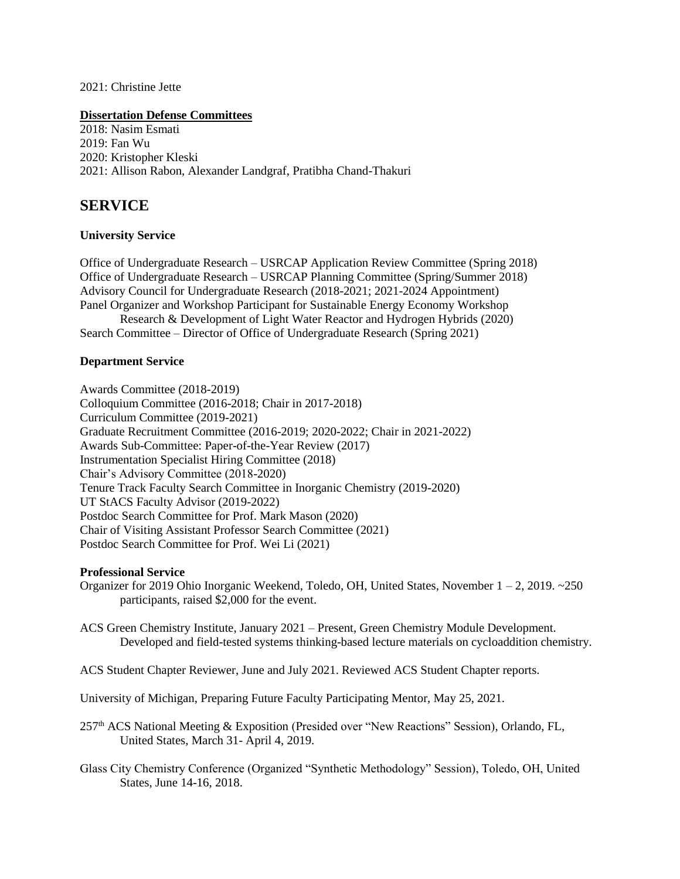2021: Christine Jette

#### **Dissertation Defense Committees**

2018: Nasim Esmati 2019: Fan Wu 2020: Kristopher Kleski 2021: Allison Rabon, Alexander Landgraf, Pratibha Chand-Thakuri

# **SERVICE**

#### **University Service**

Office of Undergraduate Research – USRCAP Application Review Committee (Spring 2018) Office of Undergraduate Research – USRCAP Planning Committee (Spring/Summer 2018) Advisory Council for Undergraduate Research (2018-2021; 2021-2024 Appointment) Panel Organizer and Workshop Participant for Sustainable Energy Economy Workshop Research & Development of Light Water Reactor and Hydrogen Hybrids (2020)

Search Committee – Director of Office of Undergraduate Research (Spring 2021)

#### **Department Service**

Awards Committee (2018-2019) Colloquium Committee (2016-2018; Chair in 2017-2018) Curriculum Committee (2019-2021) Graduate Recruitment Committee (2016-2019; 2020-2022; Chair in 2021-2022) Awards Sub-Committee: Paper-of-the-Year Review (2017) Instrumentation Specialist Hiring Committee (2018) Chair's Advisory Committee (2018-2020) Tenure Track Faculty Search Committee in Inorganic Chemistry (2019-2020) UT StACS Faculty Advisor (2019-2022) Postdoc Search Committee for Prof. Mark Mason (2020) Chair of Visiting Assistant Professor Search Committee (2021) Postdoc Search Committee for Prof. Wei Li (2021)

#### **Professional Service**

Organizer for 2019 Ohio Inorganic Weekend, Toledo, OH, United States, November 1 – 2, 2019. ~250 participants, raised \$2,000 for the event.

ACS Green Chemistry Institute, January 2021 – Present, Green Chemistry Module Development. Developed and field-tested systems thinking-based lecture materials on cycloaddition chemistry.

ACS Student Chapter Reviewer, June and July 2021. Reviewed ACS Student Chapter reports.

University of Michigan, Preparing Future Faculty Participating Mentor, May 25, 2021.

257th ACS National Meeting & Exposition (Presided over "New Reactions" Session), Orlando, FL, United States, March 31- April 4, 2019.

Glass City Chemistry Conference (Organized "Synthetic Methodology" Session), Toledo, OH, United States, June 14-16, 2018.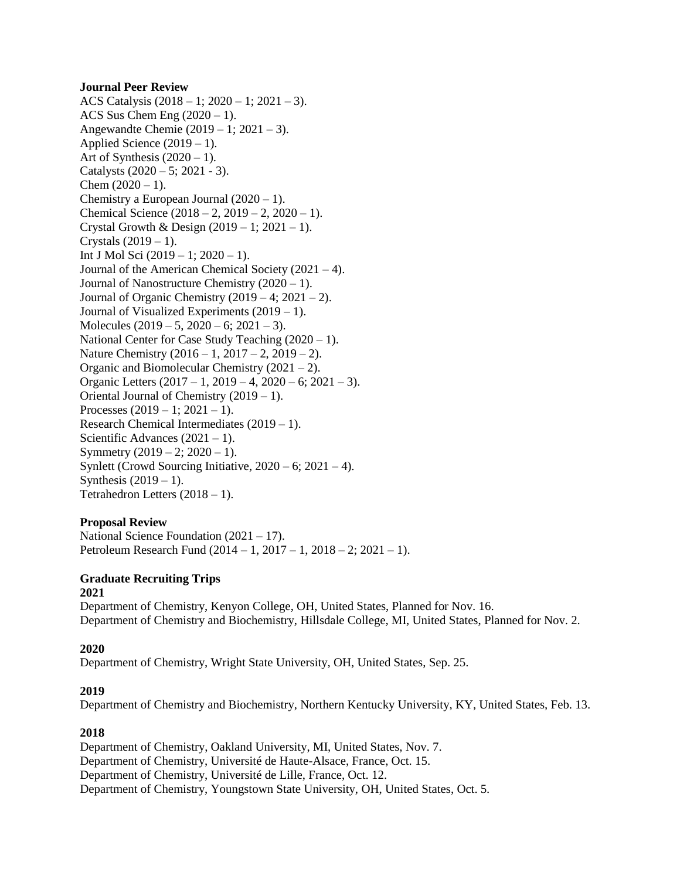#### **Journal Peer Review**

ACS Catalysis (2018 – 1; 2020 – 1; 2021 – 3). ACS Sus Chem Eng  $(2020 - 1)$ . Angewandte Chemie (2019 – 1; 2021 – 3). Applied Science  $(2019 - 1)$ . Art of Synthesis  $(2020 - 1)$ . Catalysts  $(2020 – 5; 2021 – 3)$ . Chem  $(2020 - 1)$ . Chemistry a European Journal  $(2020 - 1)$ . Chemical Science  $(2018 – 2, 2019 – 2, 2020 – 1)$ . Crystal Growth & Design  $(2019 - 1; 2021 - 1)$ . Crystals  $(2019 - 1)$ . Int J Mol Sci (2019 – 1; 2020 – 1). Journal of the American Chemical Society (2021 – 4). Journal of Nanostructure Chemistry (2020 – 1). Journal of Organic Chemistry  $(2019 - 4; 2021 - 2)$ . Journal of Visualized Experiments  $(2019 - 1)$ . Molecules  $(2019 - 5, 2020 - 6; 2021 - 3)$ . National Center for Case Study Teaching  $(2020 - 1)$ . Nature Chemistry  $(2016 - 1, 2017 - 2, 2019 - 2)$ . Organic and Biomolecular Chemistry (2021 – 2). Organic Letters  $(2017 - 1, 2019 - 4, 2020 - 6, 2021 - 3)$ . Oriental Journal of Chemistry (2019 – 1). Processes  $(2019 - 1; 2021 - 1)$ . Research Chemical Intermediates (2019 – 1). Scientific Advances  $(2021 - 1)$ . Symmetry  $(2019 - 2; 2020 - 1)$ . Synlett (Crowd Sourcing Initiative,  $2020 - 6$ ;  $2021 - 4$ ). Synthesis  $(2019 - 1)$ . Tetrahedron Letters  $(2018 - 1)$ .

#### **Proposal Review**

National Science Foundation (2021 – 17). Petroleum Research Fund (2014 – 1, 2017 – 1, 2018 – 2; 2021 – 1).

#### **Graduate Recruiting Trips 2021**

Department of Chemistry, Kenyon College, OH, United States, Planned for Nov. 16. Department of Chemistry and Biochemistry, Hillsdale College, MI, United States, Planned for Nov. 2.

# **2020**

Department of Chemistry, Wright State University, OH, United States, Sep. 25.

#### **2019**

Department of Chemistry and Biochemistry, Northern Kentucky University, KY, United States, Feb. 13.

# **2018**

Department of Chemistry, Oakland University, MI, United States, Nov. 7. Department of Chemistry, Université de Haute-Alsace, France, Oct. 15. Department of Chemistry, Université de Lille, France, Oct. 12. Department of Chemistry, Youngstown State University, OH, United States, Oct. 5.